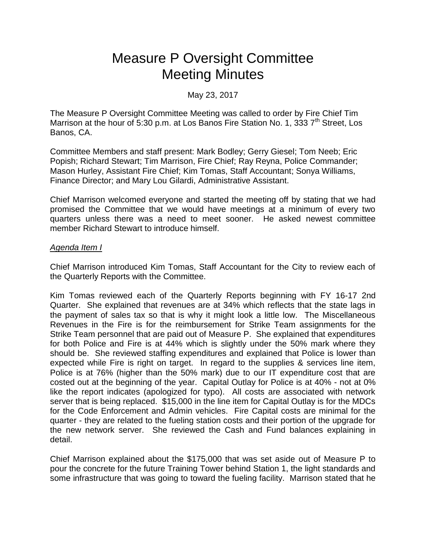# Measure P Oversight Committee Meeting Minutes

## May 23, 2017

The Measure P Oversight Committee Meeting was called to order by Fire Chief Tim Marrison at the hour of 5:30 p.m. at Los Banos Fire Station No. 1, 333 7<sup>th</sup> Street, Los Banos, CA.

Committee Members and staff present: Mark Bodley; Gerry Giesel; Tom Neeb; Eric Popish; Richard Stewart; Tim Marrison, Fire Chief; Ray Reyna, Police Commander; Mason Hurley, Assistant Fire Chief; Kim Tomas, Staff Accountant; Sonya Williams, Finance Director; and Mary Lou Gilardi, Administrative Assistant.

Chief Marrison welcomed everyone and started the meeting off by stating that we had promised the Committee that we would have meetings at a minimum of every two quarters unless there was a need to meet sooner. He asked newest committee member Richard Stewart to introduce himself.

#### *Agenda Item I*

Chief Marrison introduced Kim Tomas, Staff Accountant for the City to review each of the Quarterly Reports with the Committee.

Kim Tomas reviewed each of the Quarterly Reports beginning with FY 16-17 2nd Quarter. She explained that revenues are at 34% which reflects that the state lags in the payment of sales tax so that is why it might look a little low. The Miscellaneous Revenues in the Fire is for the reimbursement for Strike Team assignments for the Strike Team personnel that are paid out of Measure P. She explained that expenditures for both Police and Fire is at 44% which is slightly under the 50% mark where they should be. She reviewed staffing expenditures and explained that Police is lower than expected while Fire is right on target. In regard to the supplies & services line item, Police is at 76% (higher than the 50% mark) due to our IT expenditure cost that are costed out at the beginning of the year. Capital Outlay for Police is at 40% - not at 0% like the report indicates (apologized for typo). All costs are associated with network server that is being replaced. \$15,000 in the line item for Capital Outlay is for the MDCs for the Code Enforcement and Admin vehicles. Fire Capital costs are minimal for the quarter - they are related to the fueling station costs and their portion of the upgrade for the new network server. She reviewed the Cash and Fund balances explaining in detail.

Chief Marrison explained about the \$175,000 that was set aside out of Measure P to pour the concrete for the future Training Tower behind Station 1, the light standards and some infrastructure that was going to toward the fueling facility. Marrison stated that he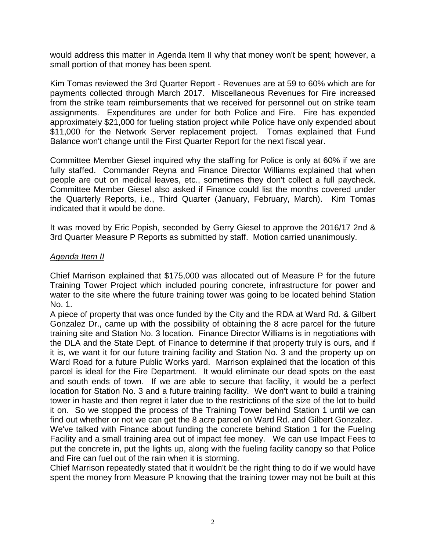would address this matter in Agenda Item II why that money won't be spent; however, a small portion of that money has been spent.

Kim Tomas reviewed the 3rd Quarter Report - Revenues are at 59 to 60% which are for payments collected through March 2017. Miscellaneous Revenues for Fire increased from the strike team reimbursements that we received for personnel out on strike team assignments. Expenditures are under for both Police and Fire. Fire has expended approximately \$21,000 for fueling station project while Police have only expended about \$11,000 for the Network Server replacement project. Tomas explained that Fund Balance won't change until the First Quarter Report for the next fiscal year.

Committee Member Giesel inquired why the staffing for Police is only at 60% if we are fully staffed. Commander Reyna and Finance Director Williams explained that when people are out on medical leaves, etc., sometimes they don't collect a full paycheck. Committee Member Giesel also asked if Finance could list the months covered under the Quarterly Reports, i.e., Third Quarter (January, February, March). Kim Tomas indicated that it would be done.

It was moved by Eric Popish, seconded by Gerry Giesel to approve the 2016/17 2nd & 3rd Quarter Measure P Reports as submitted by staff. Motion carried unanimously.

## *Agenda Item II*

Chief Marrison explained that \$175,000 was allocated out of Measure P for the future Training Tower Project which included pouring concrete, infrastructure for power and water to the site where the future training tower was going to be located behind Station No. 1.

A piece of property that was once funded by the City and the RDA at Ward Rd. & Gilbert Gonzalez Dr., came up with the possibility of obtaining the 8 acre parcel for the future training site and Station No. 3 location. Finance Director Williams is in negotiations with the DLA and the State Dept. of Finance to determine if that property truly is ours, and if it is, we want it for our future training facility and Station No. 3 and the property up on Ward Road for a future Public Works yard. Marrison explained that the location of this parcel is ideal for the Fire Department. It would eliminate our dead spots on the east and south ends of town. If we are able to secure that facility, it would be a perfect location for Station No. 3 and a future training facility. We don't want to build a training tower in haste and then regret it later due to the restrictions of the size of the lot to build it on. So we stopped the process of the Training Tower behind Station 1 until we can find out whether or not we can get the 8 acre parcel on Ward Rd. and Gilbert Gonzalez.

We've talked with Finance about funding the concrete behind Station 1 for the Fueling Facility and a small training area out of impact fee money. We can use Impact Fees to put the concrete in, put the lights up, along with the fueling facility canopy so that Police and Fire can fuel out of the rain when it is storming.

Chief Marrison repeatedly stated that it wouldn't be the right thing to do if we would have spent the money from Measure P knowing that the training tower may not be built at this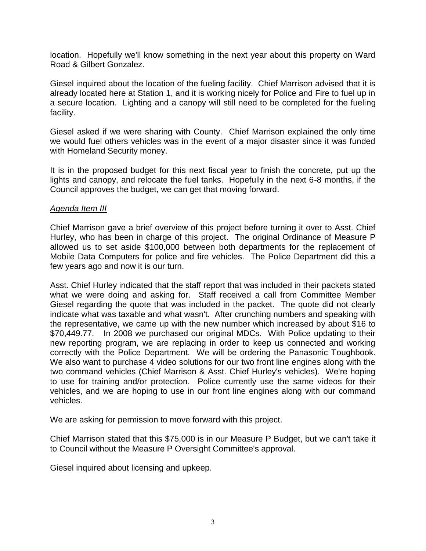location. Hopefully we'll know something in the next year about this property on Ward Road & Gilbert Gonzalez.

Giesel inquired about the location of the fueling facility. Chief Marrison advised that it is already located here at Station 1, and it is working nicely for Police and Fire to fuel up in a secure location. Lighting and a canopy will still need to be completed for the fueling facility.

Giesel asked if we were sharing with County. Chief Marrison explained the only time we would fuel others vehicles was in the event of a major disaster since it was funded with Homeland Security money.

It is in the proposed budget for this next fiscal year to finish the concrete, put up the lights and canopy, and relocate the fuel tanks. Hopefully in the next 6-8 months, if the Council approves the budget, we can get that moving forward.

## *Agenda Item III*

Chief Marrison gave a brief overview of this project before turning it over to Asst. Chief Hurley, who has been in charge of this project. The original Ordinance of Measure P allowed us to set aside \$100,000 between both departments for the replacement of Mobile Data Computers for police and fire vehicles. The Police Department did this a few years ago and now it is our turn.

Asst. Chief Hurley indicated that the staff report that was included in their packets stated what we were doing and asking for. Staff received a call from Committee Member Giesel regarding the quote that was included in the packet. The quote did not clearly indicate what was taxable and what wasn't. After crunching numbers and speaking with the representative, we came up with the new number which increased by about \$16 to \$70,449.77. In 2008 we purchased our original MDCs. With Police updating to their new reporting program, we are replacing in order to keep us connected and working correctly with the Police Department. We will be ordering the Panasonic Toughbook. We also want to purchase 4 video solutions for our two front line engines along with the two command vehicles (Chief Marrison & Asst. Chief Hurley's vehicles). We're hoping to use for training and/or protection. Police currently use the same videos for their vehicles, and we are hoping to use in our front line engines along with our command vehicles.

We are asking for permission to move forward with this project.

Chief Marrison stated that this \$75,000 is in our Measure P Budget, but we can't take it to Council without the Measure P Oversight Committee's approval.

Giesel inquired about licensing and upkeep.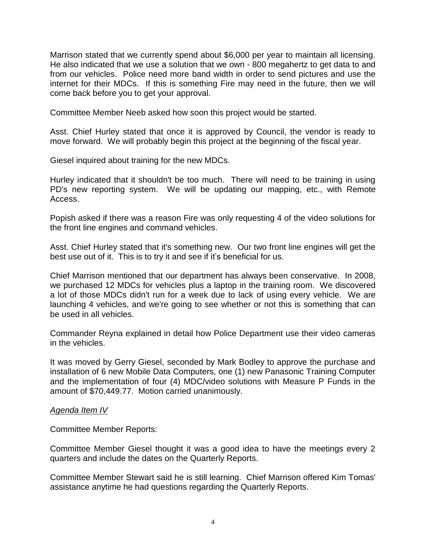Marrison stated that we currently spend about \$6,000 per year to maintain all licensing. He also indicated that we use a solution that we own - 800 megahertz to get data to and from our vehicles. Police need more band width in order to send pictures and use the internet for their MDCs. If this is something Fire may need in the future, then we will come back before you to get your approval.

Committee Member Neeb asked how soon this project would be started.

Asst. Chief Hurley stated that once it is approved by Council, the vendor is ready to move forward. We will probably begin this project at the beginning of the fiscal year.

Giesel inquired about training for the new MDCs.

Hurley indicated that it shouldn't be too much. There will need to be training in using PD's new reporting system. We will be updating our mapping, etc., with Remote Access.

Popish asked if there was a reason Fire was only requesting 4 of the video solutions for the front line engines and command vehicles.

Asst. Chief Hurley stated that it's something new. Our two front line engines will get the best use out of it. This is to try it and see if it's beneficial for us.

Chief Marrison mentioned that our department has always been conservative. In 2008, we purchased 12 MDCs for vehicles plus a laptop in the training room. We discovered a lot of those MDCs didn't run for a week due to lack of using every vehicle. We are launching 4 vehicles, and we're going to see whether or not this is something that can be used in all vehicles.

Commander Reyna explained in detail how Police Department use their video cameras in the vehicles.

It was moved by Gerry Giesel, seconded by Mark Bodley to approve the purchase and installation of 6 new Mobile Data Computers, one (1) new Panasonic Training Computer and the implementation of four (4) MDC/video solutions with Measure P Funds in the amount of \$70,449.77. Motion carried unanimously.

#### *Agenda Item IV*

Committee Member Reports:

Committee Member Giesel thought it was a good idea to have the meetings every 2 quarters and include the dates on the Quarterly Reports.

Committee Member Stewart said he is still learning. Chief Marrison offered Kim Tomas' assistance anytime he had questions regarding the Quarterly Reports.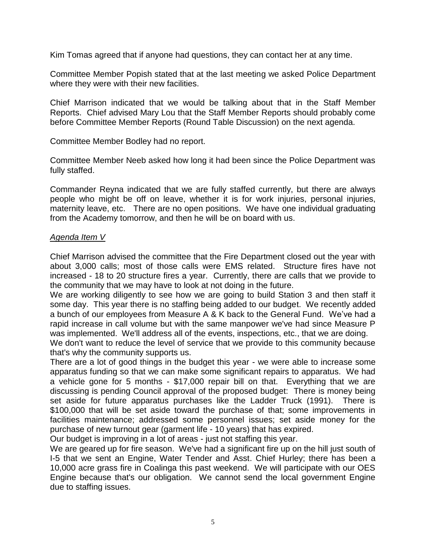Kim Tomas agreed that if anyone had questions, they can contact her at any time.

Committee Member Popish stated that at the last meeting we asked Police Department where they were with their new facilities.

Chief Marrison indicated that we would be talking about that in the Staff Member Reports. Chief advised Mary Lou that the Staff Member Reports should probably come before Committee Member Reports (Round Table Discussion) on the next agenda.

Committee Member Bodley had no report.

Committee Member Neeb asked how long it had been since the Police Department was fully staffed.

Commander Reyna indicated that we are fully staffed currently, but there are always people who might be off on leave, whether it is for work injuries, personal injuries, maternity leave, etc. There are no open positions. We have one individual graduating from the Academy tomorrow, and then he will be on board with us.

# *Agenda Item V*

Chief Marrison advised the committee that the Fire Department closed out the year with about 3,000 calls; most of those calls were EMS related. Structure fires have not increased - 18 to 20 structure fires a year. Currently, there are calls that we provide to the community that we may have to look at not doing in the future.

We are working diligently to see how we are going to build Station 3 and then staff it some day. This year there is no staffing being added to our budget. We recently added a bunch of our employees from Measure A & K back to the General Fund. We've had a rapid increase in call volume but with the same manpower we've had since Measure P was implemented. We'll address all of the events, inspections, etc., that we are doing.

We don't want to reduce the level of service that we provide to this community because that's why the community supports us.

There are a lot of good things in the budget this year - we were able to increase some apparatus funding so that we can make some significant repairs to apparatus. We had a vehicle gone for 5 months - \$17,000 repair bill on that. Everything that we are discussing is pending Council approval of the proposed budget: There is money being set aside for future apparatus purchases like the Ladder Truck (1991). There is \$100,000 that will be set aside toward the purchase of that; some improvements in facilities maintenance; addressed some personnel issues; set aside money for the purchase of new turnout gear (garment life - 10 years) that has expired.

Our budget is improving in a lot of areas - just not staffing this year.

We are geared up for fire season. We've had a significant fire up on the hill just south of I-5 that we sent an Engine, Water Tender and Asst. Chief Hurley; there has been a 10,000 acre grass fire in Coalinga this past weekend. We will participate with our OES Engine because that's our obligation. We cannot send the local government Engine due to staffing issues.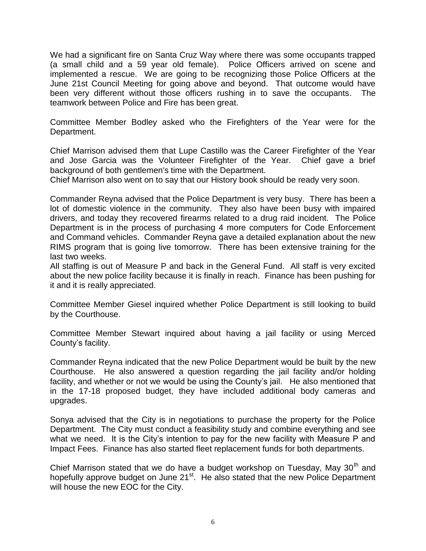We had a significant fire on Santa Cruz Way where there was some occupants trapped (a small child and a 59 year old female). Police Officers arrived on scene and implemented a rescue. We are going to be recognizing those Police Officers at the June 21st Council Meeting for going above and beyond. That outcome would have been very different without those officers rushing in to save the occupants. The teamwork between Police and Fire has been great.

Committee Member Bodley asked who the Firefighters of the Year were for the Department.

Chief Marrison advised them that Lupe Castillo was the Career Firefighter of the Year and Jose Garcia was the Volunteer Firefighter of the Year. Chief gave a brief background of both gentlemen's time with the Department.

Chief Marrison also went on to say that our History book should be ready very soon.

Commander Reyna advised that the Police Department is very busy. There has been a lot of domestic violence in the community. They also have been busy with impaired drivers, and today they recovered firearms related to a drug raid incident. The Police Department is in the process of purchasing 4 more computers for Code Enforcement and Command vehicles. Commander Reyna gave a detailed explanation about the new RIMS program that is going live tomorrow. There has been extensive training for the last two weeks.

All staffing is out of Measure P and back in the General Fund. All staff is very excited about the new police facility because it is finally in reach. Finance has been pushing for it and it is really appreciated.

Committee Member Giesel inquired whether Police Department is still looking to build by the Courthouse.

Committee Member Stewart inquired about having a jail facility or using Merced County's facility.

Commander Reyna indicated that the new Police Department would be built by the new Courthouse. He also answered a question regarding the jail facility and/or holding facility, and whether or not we would be using the County's jail. He also mentioned that in the 17-18 proposed budget, they have included additional body cameras and upgrades.

Sonya advised that the City is in negotiations to purchase the property for the Police Department. The City must conduct a feasibility study and combine everything and see what we need. It is the City's intention to pay for the new facility with Measure P and Impact Fees. Finance has also started fleet replacement funds for both departments.

Chief Marrison stated that we do have a budget workshop on Tuesday, May  $30<sup>th</sup>$  and hopefully approve budget on June 21<sup>st</sup>. He also stated that the new Police Department will house the new EOC for the City.